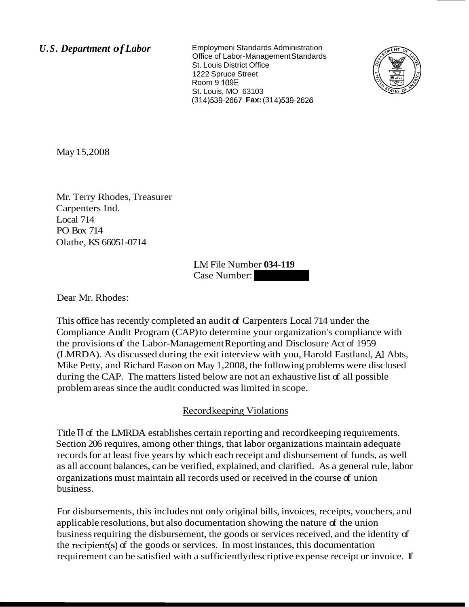U.S. Department of Labor Employmeni Standards Administration Office of Labor-Management Standards St. Louis District Office 1222 Spruce Street Room 9 109E St. Louis, MO 63103 (31 4)539-2667 **Fax:** (31 4)539-2626



May 15,2008

Mr. Terry Rhodes, Treasurer Carpenters Ind. Local 714 PO Box 714 Olathe, KS 66051-0714

LNI File Number **034-119**  LM File Number 034-119<br>Case Number:

Dear Mr. Rhodes:

This office has recently completed an audit of Carpenters Local 714 under the Compliance Audit Program (CAP) to determine your organization's compliance with the provisions of the Labor-Management Reporting and Disclosure Act of 1959 (LMRDA). As discussed during the exit interview with you, Harold Eastland, A1 Abts, Mike Petty, and Richard Eason on May 1,2008, the following problems were disclosed during the CAP. The matters listed below are not an exhaustive list of all possible problem areas since the audit conducted was limited in scope.

## Recordkeeping Violations

Title II of the LMRDA establishes certain reporting and record keeping requirements. Section 206 requires, among other things, that labor organizations maintain adequate records for at least five years by which each receipt and disbursement of funds, as well as all account balances, can be verified, explained, and clarified. As a general rule, labor organizations must maintain all records used or received in the course of union business.

For disbursements, this includes not only original bills, invoices, receipts, vouchers, and applicable resolutions, but also documentation showing the nature of the union business requiring the disbursement, the goods or services received, and the identity of the recipient(s) of the goods or services. In most instances, this documentation requirement can be satisfied with a sufficiently descriptive expense receipt or invoice. If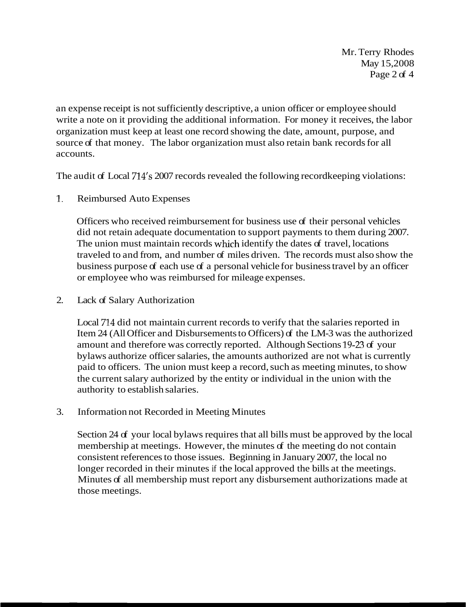Mr. Terry Rhodes May 15,2008 Page 2 of 4

an expense receipt is not sufficiently descriptive, a union officer or employee should write a note on it providing the additional information. For money it receives, the labor organization must keep at least one record showing the date, amount, purpose, and source of that money. The labor organization must also retain bank records for all accounts.

The audit of Local 714's 2007 records revealed the following recordkeeping violations:

1. Reimbursed Auto Expenses

Officers who received reimbursement for business use of their personal vehicles did not retain adequate documentation to support payments to them during 2007. The union must maintain records which identify the dates of travel, locations traveled to and from, and number of miles driven. The records must also show the business purpose of each use of a personal vehicle for business travel by an officer or employee who was reimbursed for mileage expenses.

2. Lack of Salary Authorization

Local 714 did not maintain current records to verify that the salaries reported in Item 24 (All Officer and Disbursements to Officers) of the LM-3 was the authorized amount and therefore was correctly reported. Although Sections 19-23 of your bylaws authorize officer salaries, the amounts authorized are not what is currently paid to officers. The union must keep a record, such as meeting minutes, to show the current salary authorized by the entity or individual in the union with the authority to establish salaries.

3. Information not Recorded in Meeting Minutes

Section 24 of your local bylaws requires that all bills must be approved by the local membership at meetings. However, the minutes of the meeting do not contain consistent references to those issues. Beginning in January 2007, the local no longer recorded in their minutes if the local approved the bills at the meetings. Minutes of all membership must report any disbursement authorizations made at those meetings.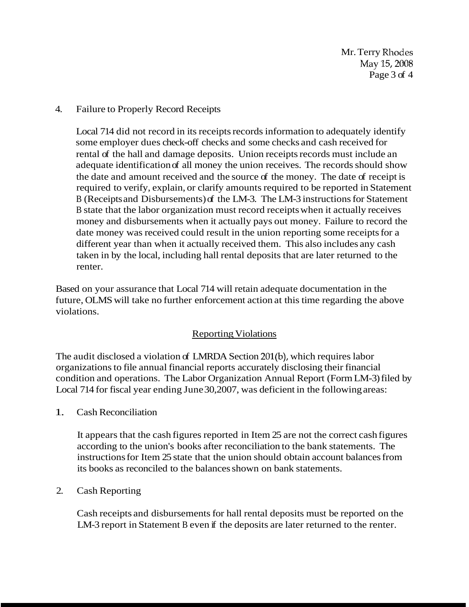Mr. Terry Rhodes May 15,2008 Page 3 of 4

## 4. Failure to Properly Record Receipts

Local 714 did not record in its receipts records information to adequately identify some employer dues check-off checks and some checks and cash received for rental of the hall and damage deposits. Union receipts records must include an adequate identification of all money the union receives. The records should show the date and amount received and the source of the money. The date of receipt is required to verify, explain, or clarify amounts required to be reported in Statement B (Receipts and Disbursements) of the LM-3. The LM-3 instructions for Statement B state that the labor organization must record receipts when it actually receives money and disbursements when it actually pays out money. Failure to record the date money was received could result in the union reporting some receipts for a different year than when it actually received them. This also includes any cash taken in by the local, including hall rental deposits that are later returned to the renter.

Based on your assurance that Local 714 will retain adequate documentation in the future, OLMS will take no further enforcement action at this time regarding the above violations.

## Reporting Violations

The audit disclosed a violation of LMRDA Section 201(b), which requires labor organizations to file annual financial reports accurately disclosing their financial condition and operations. The Labor Organization Annual Report (Form LM-3) filed by Local 714 for fiscal year ending June 30,2007, was deficient in the following areas:

1. Cash Reconciliation

It appears that the cash figures reported in Item 25 are not the correct cash figures according to the union's books after reconciliation to the bank statements. The instructions for Item 25 state that the union should obtain account balances from its books as reconciled to the balances shown on bank statements.

## 2. Cash Reporting

Cash receipts and disbursements for hall rental deposits must be reported on the LM-3 report in Statement B even if the deposits are later returned to the renter.